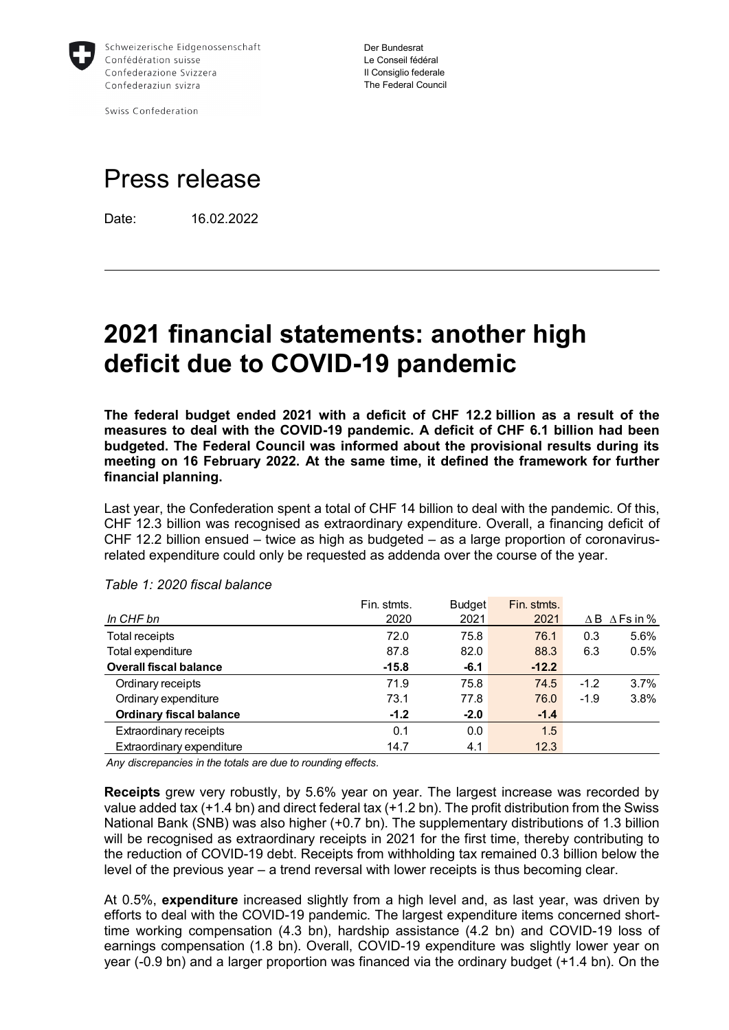

Swiss Confederation

Der Bundesrat Le Conseil fédéral Il Consiglio federale The Federal Council

# Press release

Date: 16.02.2022

# **2021 financial statements: another high deficit due to COVID-19 pandemic**

**The federal budget ended 2021 with a deficit of CHF 12.2 billion as a result of the measures to deal with the COVID-19 pandemic. A deficit of CHF 6.1 billion had been budgeted. The Federal Council was informed about the provisional results during its meeting on 16 February 2022. At the same time, it defined the framework for further financial planning.**

Last year, the Confederation spent a total of CHF 14 billion to deal with the pandemic. Of this, CHF 12.3 billion was recognised as extraordinary expenditure. Overall, a financing deficit of CHF 12.2 billion ensued – twice as high as budgeted – as a large proportion of coronavirusrelated expenditure could only be requested as addenda over the course of the year.

|                                | Fin. stmts. | <b>Budget</b> | Fin. stmts. |        |                             |
|--------------------------------|-------------|---------------|-------------|--------|-----------------------------|
| In CHF bn                      | 2020        | 2021          | 2021        |        | $\Delta$ B $\Delta$ Fs in % |
| Total receipts                 | 72.0        | 75.8          | 76.1        | 0.3    | 5.6%                        |
| Total expenditure              | 87.8        | 82.0          | 88.3        | 6.3    | 0.5%                        |
| <b>Overall fiscal balance</b>  | $-15.8$     | $-6.1$        | $-12.2$     |        |                             |
| Ordinary receipts              | 71.9        | 75.8          | 74.5        | $-1.2$ | $3.7\%$                     |
| Ordinary expenditure           | 73.1        | 77.8          | 76.0        | $-1.9$ | 3.8%                        |
| <b>Ordinary fiscal balance</b> | $-1.2$      | $-2.0$        | $-1.4$      |        |                             |
| Extraordinary receipts         | 0.1         | 0.0           | 1.5         |        |                             |
| Extraordinary expenditure      | 14.7        | 4.1           | 12.3        |        |                             |

#### *Table 1: 2020 fiscal balance*

*Any discrepancies in the totals are due to rounding effects.*

**Receipts** grew very robustly, by 5.6% year on year. The largest increase was recorded by value added tax (+1.4 bn) and direct federal tax (+1.2 bn). The profit distribution from the Swiss National Bank (SNB) was also higher (+0.7 bn). The supplementary distributions of 1.3 billion will be recognised as extraordinary receipts in 2021 for the first time, thereby contributing to the reduction of COVID-19 debt. Receipts from withholding tax remained 0.3 billion below the level of the previous year – a trend reversal with lower receipts is thus becoming clear.

At 0.5%, **expenditure** increased slightly from a high level and, as last year, was driven by efforts to deal with the COVID-19 pandemic. The largest expenditure items concerned shorttime working compensation (4.3 bn), hardship assistance (4.2 bn) and COVID-19 loss of earnings compensation (1.8 bn). Overall, COVID-19 expenditure was slightly lower year on year (-0.9 bn) and a larger proportion was financed via the ordinary budget (+1.4 bn). On the